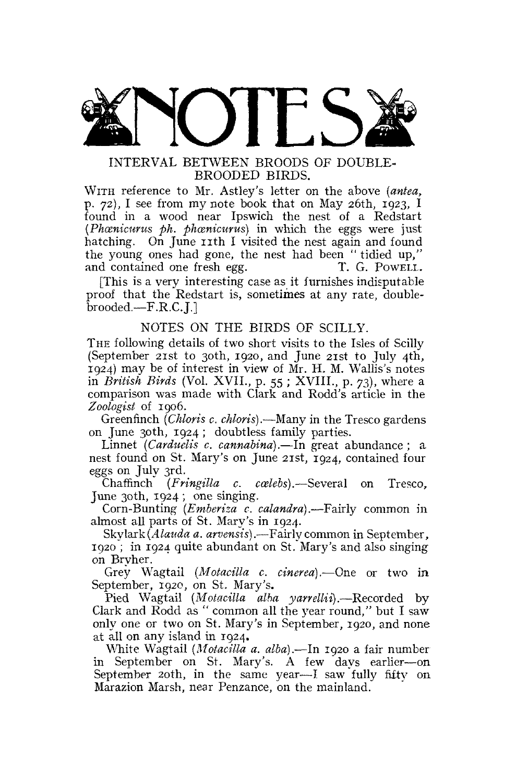

# INTERVAL BETWEEN BROODS OF DOUBLE-BROODED BIRDS.

WITH reference to Mr. Astley's letter on the above *(antea,*  p, 72), I see from my note book that on May 26th, 1923, I found in a wood near Ipswich the nest of a Redstart *(Phcenicurus ph. phcenicurus)* in which the eggs were just hatching. On June 11th I visited the nest again and found the young ones had gone, the nest had been " tidied up," and contained one fresh egg. T. G. Powell.

[This is a very interesting case as it furnishes indisputable proof that the Redstart is, sometimes at any rate, doublebrooded.—F.R.C.J.]

### NOTES ON THE BIRDS OF SCILLY.

THE following details of two short visits to the Isles of Scilly (September 21st to 30th, 1920, and June 21st to July 4th, 1924) may be of interest in view of Mr. H. M. Wallis's notes in *British Birds* (Vol. XVII., p. 55 ; XVIII., p. 73), where a comparison was made with Clark and Rodd's article in the *Zoologist* of 1906.

Greenfinch *(Chloris c, chloris)*.—Many in the Tresco gardens on June 30th, 1924; doubtless family parties.

Linnet *(Carduelis c. cannabina).*—In great abundance ; a nest found on St. Mary's on June 21st, 1924, contained four eggs on July 3rd.

Chaffinch *(Fringilla c. ccelebs).*—Several on Tresco, June 30th, 1924 ; one singing.

Corn-Bunting *(Emberiza c. calandra).*—Fairly common in almost all parts of St. Mary's in 1924.

Skylark *(A lauda a. arvensis).*—Fairly common in September, 1920 ; in 1924 quite abundant on St. Mary's and also singing on Bryher.

Grey Wagtail *(Motacilla c. cinerea).*—One or two in September, 1920, on St. Mary's.

Pied Wagtail *(Motacilla alba yarrellii).*—Recorded by Clark and Rodd as " common all the year round," but I saw only one or two on St. Mary's in September, 1920, and none at all on any island in 1924.

White Wagtail *(Motacilla a. alba).-*—In 1920 a fair number in September on St. Mary's. A few days earlier—on September 20th, in the same year—I saw fully fifty on Marazion Marsh, near Penzance, on the mainland.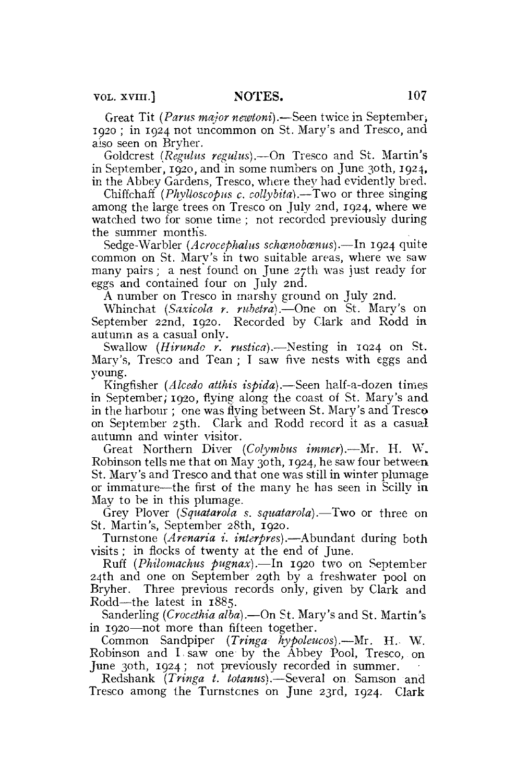Great Tit *(Parus major newioni).*—Seen twice in September; 1920 ; in 1924 not uncommon on St. Mary's and Tresco, and also seen on Bryher.

Goldcrest *(Regulus regains).*—On Tresco and St. Martin's in September, 1920, and in some numbers on June 30th, 1924, in the Abbey Gardens, Tresco, where they had evidently bred.

Chiffchaff *(Phylloscopus c. collybitd).*—Two or three singing among the large trees on Tresco on July 2nd, 1924, where we watched two for some time ; not recorded previously during the summer month's.

Sedge-Warbler *(Acrocephalus schœnobœnus)*.—In 1924 quite common on St. Mary's in two suitable areas, where we saw many pairs; a nest found on June 27th was just ready for eggs and contained four on July 2nd.

A number on Tresco in marshy ground on July 2nd.

Whinchat *(Saxicola r. rubetra).*—One on St. Mary's on September 22nd, 1920. Recorded by Clark and Rodd in autumn as a casual only.

Swallow *(Hirundo r. rustica).*—Nesting in IQ24 on St. Mary's, Tresco and Tean ; T saw five nests with eggs and young.

Kingfisher *(Alcedo atthis ispida)*.—Seen half-a-dozen times in September; 1920, flying along the coast of St. Mary's and in the harbour ; one was flying between St. Mary's and Tresco on September 25th. Clark and Rodd record it as a casual autumn and winter visitor.

Great Northern Diver *(Cofymbus immer).*—Mr, H. W. Robinson tells me that on May 30th, 1924, he saw four between St. Mary's and Tresco and that one was still in winter plumage: or immature—the first of the many he has seen in Scilly in May to be in this plumage.

Grey Plover *(Squatarola s. squatarola).*—Two or three on St. Martin's, September 28th, 1920.

Turnstone (Arenaria i. interpres).—Abundant during both visits ; in flocks of twenty at the end of June.

Ruff *(Philomachus pugnax).*—In 1920 two on September 24th and one on September 29th by a freshwater pool on Bryher. Three previous records only, given by Clark and Rodd—the latest in 1885.

Sanderling *(Crocethia alba),*—On St. Mary's and St. Martin's in 1920—not more than fifteen together.

Common Sandpiper *(Tringa hypoleucos).*—Mr. H.. W. Robinson and I. saw one by the Abbey Pool, Tresco, on June 30th, 1924; not previously recorded in summer.

Redshank *(Tringa t. totanus)*.—Several on Samson and Tresco among the Turnstones on June 23rd, 1924. Clark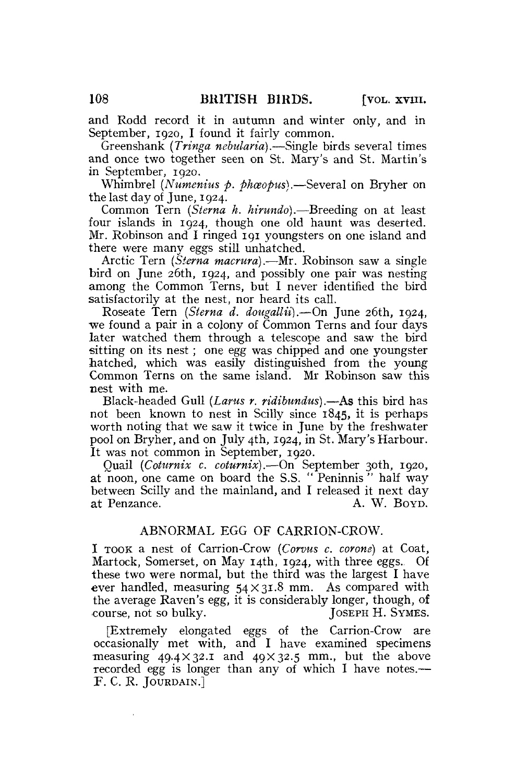and Rodd record it in autumn and winter only, and in September, 1920, I found it fairly common.

Green shank *(Tringa nebularia).—*Single birds several times and once two together seen on St. Mary's and St. Martin's in September, 1920.

Whimbrel *(Numenius p. phceopus).*—Several on Bryher on the last day of June, 1924.

Common Tern *{Sterna h. hirundo).*—Breeding on at least four islands in 1924, though one old haunt was deserted. Mr. Robinson and I ringed 191 youngsters on one island and there were many eggs still unhatched.

Arctic Tern *(Sterna macrura).*—Mr. Robinson saw a single bird on June 26th, 1924, and possibly one pair was nesting among the Common Terns, but I never identified the bird satisfactorily at the nest, nor heard its call.

Roseate Tern *(Sterna d. dougallii).*—On June 26th, 1924, we found a pair in a colony of Common Terns and four days later watched them through a telescope and saw the bird sitting on its nest; one egg was chipped and one youngster hatched, which was easily distinguished from the young Common Terns on the same island. Mr Robinson saw this nest with me.

Black-headed Gull *(Lams r. ridibundus).*—As this bird has not been known to nest in Scilly since **1845, it** is perhaps worth noting that we saw it twice in June by the freshwater pool on Bryher, and on July 4th, 1924, in St. Mary's Harbour. It was not common in September, 1920.

Quail *(Coturnix c. coturnix).*—On September 30th, 1920, at noon, one came on board the S.S. " Peninnis " half way between Scilly and the mainland, and I released it next day at Penzance. A. W. BOYD.

### ABNORMAL EGG OF CARRION-CROW.

I TOOK a nest of Carrion-Crow *(Corvus c, corone)* at Coat, Martock, Somerset, on May 14th, 1924, with three eggs. Of these two were normal, but the third was the largest I have ever handled, measuring  $54 \times 31.8$  mm. As compared with the average Raven's egg, it is considerably longer, though, of course, not so bulky. JOSEPH H. SYMES.

[Extremely elongated eggs of the Carrion-Crow are occasionally met with, and I have examined specimens measuring  $49.4 \times 32.1$  and  $40 \times 32.5$  mm., but the above recorded egg is longer than any of which I have notes.— F. C. R. JOURDAIN.]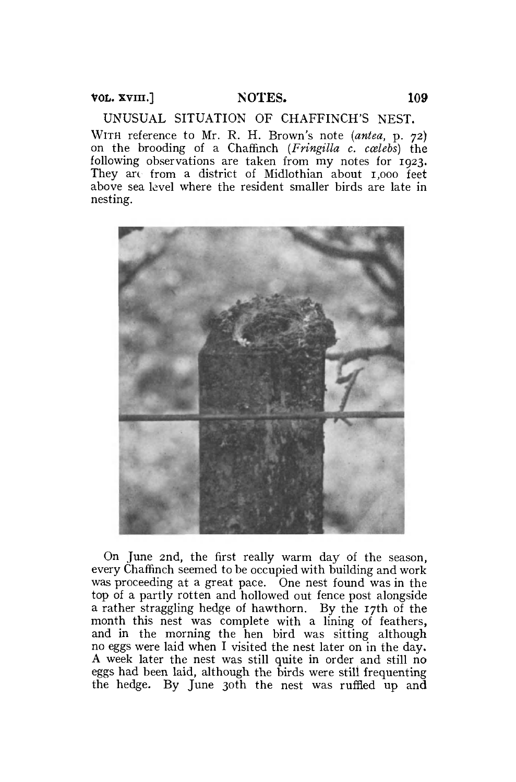UNUSUAL SITUATION OF CHAFFINCH'S NEST. WITH reference to Mr. R. H. Brown's note *(antea,* p. 72) on the brooding of a Chaffinch *(Fringilla c. ccelebs)* the following observations are taken from my notes for 1923. They are from a district of Midlothian about 1,000 feet above sea level where the resident smaller birds are late in nesting.



On June 2nd, the first really warm day of the season, every Chaffinch seemed to be occupied with building and work was proceeding at a great pace. One nest found was in the top of a partly rotten and hollowed out fence post alongside a rather straggling hedge of hawthorn. By the 17th of the month this nest was complete with a lining of feathers, and in the morning the hen bird was sitting although no eggs were laid when I visited the nest later on in the day. A week later the nest was still quite in order and still no eggs had been laid, although the birds were still frequenting the hedge. By June 30th the nest was ruffled up and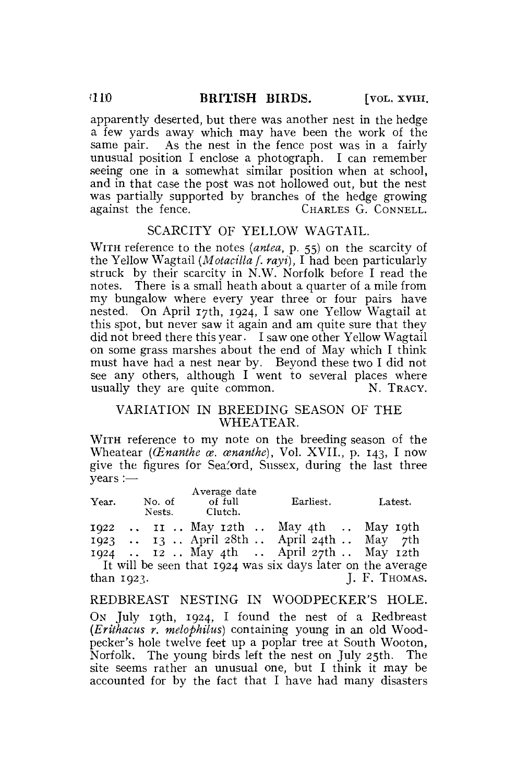apparently deserted, but there was another nest in the hedge a few yards away which may have been the work of the same pair. As the nest in the fence post was in a fairly unusual position I enclose a photograph. I can remember seeing one in a somewhat similar position when at school, and in that case the post was not hollowed out, but the nest was partially supported by branches of the hedge growing against the fence. CHARLES G. CONNELL.

### SCARCITY OF YELLOW WAGTAIL.

WITH reference to the notes *(antea,* p. 55) on the scarcity of the Yellow Wagtail *{Motacilla f. rayi),* I had been particularly struck by their scarcity in N.W. Norfolk before I read the notes. There is a small heath about a quarter of a mile from my bungalow where every year three or four pairs have nested. On April 17th, 1924, I saw one Yellow Wagtail at this spot, but never saw it again and am quite sure that they did not breed there this year. I saw one other Yellow Wagtail on some grass marshes about the end of May which I think must have had a nest near by. Beyond these two I did not see any others, although I went to several places where usually they are quite common.  $N$ . TRACY.

# VARIATION IN BREEDING SEASON OF THE WHEATEAR.

WITH reference to my note on the breeding season of the Wheatear *(CEnanthe ce. cenanthe),* Vol. XVII., p. 143, I now give the figures for Seaford, Sussex, during the last three years :—

| Year. | No. of<br>Nests. | Average date<br>of full<br>Clutch. |  | Earliest.                                                   | Latest. |  |
|-------|------------------|------------------------------------|--|-------------------------------------------------------------|---------|--|
|       |                  |                                    |  | $1922$ II May 12th  May 4th  May 19th                       |         |  |
|       |                  |                                    |  | 1923  13  April 28th  April 24th  May 7th                   |         |  |
|       |                  |                                    |  | 1924  12 May 4th  April 27th  May 12th                      |         |  |
|       |                  |                                    |  | It will be seen that 1024 was six days later on the average |         |  |

It will be seen that  $1924$  was six days later than 1923. J. F. THOMAS.

REDBREAST NESTING IN WOODPECKER'S HOLE. ON July 19th, 1924, I found the nest of a Redbreast *(Erithacus r. melophilus)* containing young in an old Woodpecker's hole twelve feet up a poplar tree at South Wooton, Norfolk. The young birds left the nest on July 25th. The site seems rather an unusual one, but I think it may be accounted for by the fact that I have had many disasters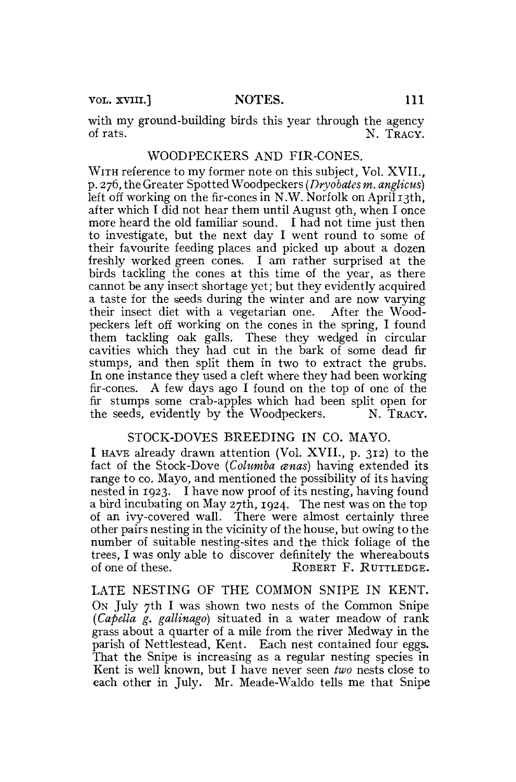VOL. XVIII.] NOTES. 111

with my ground-building birds this year through the agency<br>of rats.  $N$  TRACY N. TRACY.

#### WOODPECKERS AND FIR-CONES.

WITH reference to my former note on this subject, Vol. XVII.. p. 276, the Greater Spotted Woodpeckers *(Dryobates m. anglicus)*  left off working on the fir-cones in N.W. Norfolk on April 13th, after which I did not hear them until August 9th, when I once more heard the old familiar sound. I had not time just then to investigate, but the next day I went round to some of their favourite feeding places and picked up about a dozen freshly worked green cones. I am rather surprised at the birds tackling the cones at this time of the year, as there cannot be any insect shortage yet; but they evidently acquired a taste for the seeds during the winter and are now varying their insect diet with a vegetarian one. After the Woodpeckers left off working on the cones in the spring, I found them tackling oak galls. These they wedged in circular cavities which they had cut in the bark of some dead fir stumps, and then split them in two to extract the grubs. In one instance they used a cleft where they had been working fir-cones. A few days ago I found on the top of one of the fir stumps some crab-apples which had been split open for the seeds, evidently by the Woodpeckers. N. TRACY.

### STOCK-DOVES BREEDING IN CO. MAYO.

I HAVE already drawn attention (Vol. XVII., p. 312) to the fact of the Stock-Dove *(Columba anas)* having extended its range to co. Mayo, and mentioned the possibility of its having nested in 1923. I have now proof of its nesting, having found a bird incubating on May 27th, 1924. The nest was on the top of an ivy-covered wall. There were almost certainly three other pairs nesting in the vicinity of the house, but owing to the number of suitable nesting-sites and the thick foliage of the trees, I was only able to discover definitely the whereabouts of one of these. ROBERT F. RUTTLEDGE.

LATE NESTING OF THE COMMON SNIPE IN KENT. ON July 7th I was shown two nests of the Common Snipe *(Capella g. gallinago)* situated in a water meadow of rank grass about a quarter of a mile from the river Medway in the parish of Nettlestead, Kent. Each nest contained four eggs. That the Snipe is increasing as a regular nesting species in Kent is well known, but I have never seen *two* nests close to each other in July. Mr. Meade-Waldo tells me that Snipe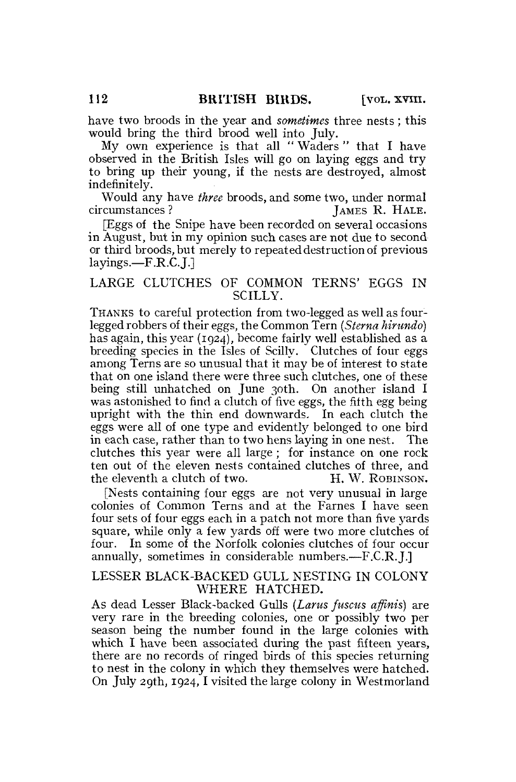have two broods in the year and *sometimes* three nests; this would bring the third brood well into July.

My own experience is that all " Waders" that I have observed in the British Isles will go on laying eggs and try to bring up their young, if the nests are destroyed, almost indefinitely.

Would any have *three* broods, and some two, under normal circumstances ? [47]  $\mu$  and  $\mu$  [47]  $\mu$  [47]  $\mu$  [47]  $\mu$  [47]  $\mu$  [47]  $\mu$  [47]  $\mu$  [47]  $\mu$  [47]  $\mu$  [47]  $\mu$  [47]  $\mu$  [47]  $\mu$  [47]  $\mu$  [47]  $\mu$ IAMES R. HALE.

[Eggs of the Snipe have been recorded on several occasions in August, but in my opinion such cases are not due to second or third broods, but merely to repeated destruction of previous layings.—F.R.C. J.

# LARGE CLUTCHES OF COMMON TERNS' EGGS IN SCILLY.

THANKS to careful protection from two-legged as well as fourlegged robbers of their eggs, the Common Tern *(Sterna hinmdo)*  has again, this year (1924), become fairly well established as a breeding species in the Isles of Scilly. Clutches of four eggs among Terns are so unusual that it may be of interest to state that on one island there were three such clutches, one of these being still unhatched on June 30th. On another island I was astonished to find a clutch of five eggs, the fifth egg being upright with the thin end downwards. In each clutch the eggs were all of one type and evidently belonged to one bird in each case, rather than to two hens laying in one nest. The clutches this year were all large; for instance on one rock ten out of the eleven nests contained clutches of three, and the eleventh a clutch of two. H. W. ROBINSON.

[Nests containing four eggs are not very unusual in large colonies of Common Terns and at the Fames I have seen four sets of four eggs each in a patch not more than five yards square, while only a few yards off were two more clutches of four. In some of the Norfolk colonies clutches of four occur annually, sometimes in considerable numbers.—F.C.R.J.]

### LESSER BLACK-BACKED GULL NESTING IN COLONY WHERE HATCHED.

As dead Lesser Black-backed Gulls *(Larus fuscus affinis)* are very rare in the breeding colonies, one or possibly two per season being the number found in the large colonies with which I have been associated during the past fifteen years, there are no records of ringed birds of this species returning to nest in the colony in which they themselves were hatched. On July 29th, 1924, I visited the large colony in Westmorland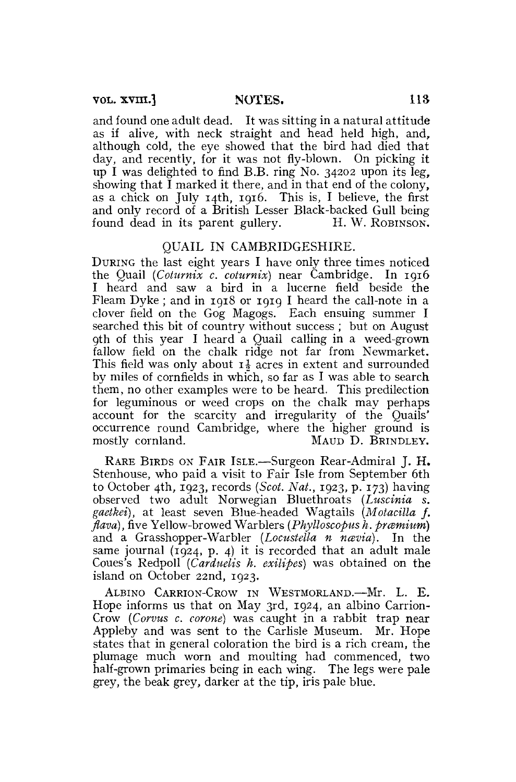and found one adult dead. It was sitting in a natural attitude as if alive, with neck straight and head held high, and, although cold, the eye showed that the bird had died that day, and recently, for it was not fly-blown. On picking it up I was delighted to find B.B. ring No. 34202 upon its leg, showing that I marked it there, and in that end of the colony, as a chick on July 14th, 1916. This is, I believe, the first and only record of a British Lesser Black-backed Gull being found dead in its parent gullery. H. W. ROBINSON.

#### QUAIL IN CAMBRIDGESHIRE.

DURING the last eight years I have only three times noticed the Quail *(Coturnix c. coturnix)* near Cambridge. In 1916 I heard and saw a bird in a lucerne field beside the Fleam Dyke ; and in 1918 or 1919 I heard the call-note in a clover field on the Gog Magogs. Each ensuing summer I searched this bit of country without success ; but on August 9th of this year I heard a Quail calling in a weed-grown fallow field on the chalk ridge not far from Newmarket. This field was only about  $\mathbf{I}$  acres in extent and surrounded by miles of cornfields in which, so far as I was able to search them, no other examples were to be heard. This predilection for leguminous or weed crops on the chalk may perhaps account for the scarcity and irregularity of the Ouails' occurrence round Cambridge, where the higher ground is mostly cornland. MAUD D. BRINDLEY.

RARE BIRDS ON FAIR ISLE.-—Surgeon Rear-Admiral J. H. Stenhouse, who paid a visit to Fair Isle from September 6th to October 4th, 1923, records *(Scot. Nat.,* 1923, p. 173) having observed two adult Norwegian Bluethroats *(Luscinia s. gaetkei),* at least seven Blue-headed Wagtails *(Motacilla f. flava*), five Yellow-browed Warblers (*Phylloscopus h. præmium*) and a Grasshopper-Warbler *(Locustella n nævia)*. In the same journal  $(1924, p. 4)$  it is recorded that an adult male Coues's Redpoll *(Carduelis h. exilipes)* was obtained on the island on October 22nd, 1923.

ALBINO CARRION-CROW IN WESTMORLAND.—Mr. L. E. Hope informs us that on May 3rd, 1924, an albino Carrion-Crow *(Corvus c. corone)* was caught in a rabbit trap near Appleby and was sent to the Carlisle Museum. Mr. Hope states that in general coloration the bird is a rich cream, the plumage much worn and moulting had commenced, two half-grown primaries being in each wing. The legs were pale grey, the beak grey, darker at the tip, iris pale blue.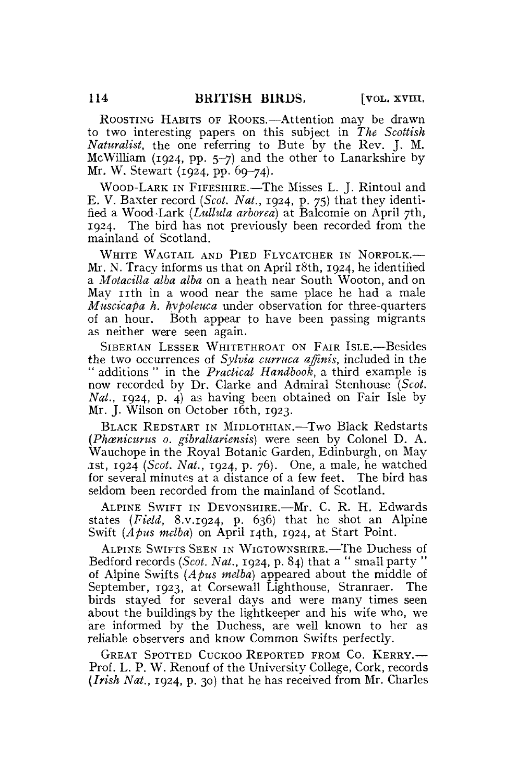ROOSTING HABITS OF ROOKS.—Attention may be drawn to two interesting papers on this subject in *The Scottish Naturalist,* the one referring to Bute by the Rev. J. M. McWilliam (1924, pp. 5-7) and the other to Lanarkshire by Mr. W. Stewart (1924, pp. 69-74).

WOOD-LARK IN FIFESHIRE.—The Misses L. J. Rintoul and E. V. Baxter record *(Scot. Nat.,* 1924, p. 75) that they identified a Wood-Lark *(Lullula arborea)* at Balcomie on April 7th, 1924. The bird has not previously been recorded from the mainland of Scotland.

WHITE WAGTAIL AND PIED FLYCATCHER IN NORFOLK.— Mr. N. Tracy informs us that on April 18th, 1924, he identified a *Motacilla alba alba* on a heath near South Wooton, and on May 11th in a wood near the same place he had a male *Muscicapa h. hypoleuca* under observation for three-quarters of an hour. Both appear to have been passing migrants as neither were seen again.

SIBERIAN LESSER WHITETHROAT ON FAIR ISLE.—Besides the two occurrences of *Sylvia curruca affinis,* included in the " additions " in the *Practical Handbook,* a third example is now recorded by Dr. Clarke and Admiral Stenhouse *(Scot. Nat.,* 1924, p. 4) as having been obtained on Fair Isle by Mr. J. Wilson on October 16th, 1923.

BLACK REDSTART IN MIDLOTHIAN.—Two Black Redstarts *(Phcenicurus 0. gibraltariensis)* were seen by Colonel D. A. Wauchope in the Royal Botanic Garden, Edinburgh, on May .1st, 1924 *(Scot. Nat.,* 1924, p. 76). One, a male, he watched for several minutes at a distance of a few feet. The bird has seldom been recorded from the mainland of Scotland.

ALPINE SWIFT IN DEVONSHIRE.—Mr. C. R. H. Edwards states *(Field,* 8.V.1924, p. 636) that he shot an Alpine Swift *(Apus melba)* on April 14th, 1924, at Start Point.

ALPINE SWIFTS SEEN IN WIGTOWNSHIRE.—The Duchess of Bedford records *(Scot. Nat.,* 1924, p. 84) that a " small party " of Alpine Swifts *(Apus melba)* appeared about the middle of September, 1923, at Corsewall Lighthouse, Stranraer. The birds stayed for several days and were many times seen about the buildings by the lightkeeper and his wife who, we are informed by the Duchess, are well known to her as reliable observers and know Common Swifts perfectly.

GREAT SPOTTED CUCKOO REPORTED FROM CO. KERRY.— Prof. L. P. W. Renouf of the University College, Cork, records *(Irish Nat.,* 1924, p. 30) that he has received from Mr. Charles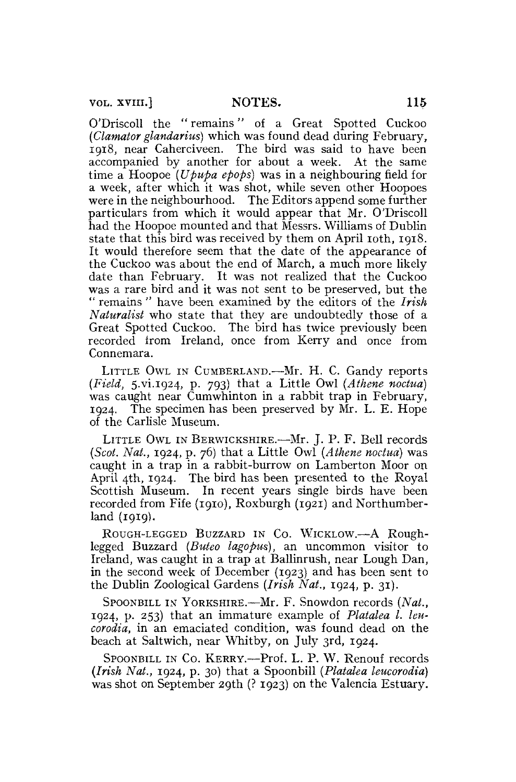vol. XVIII.] **NOTES.** 115

O'Driscoll the " remains" of a Great Spotted Cuckoo *(Clamator glandarius)* which was found dead during February, 1918, near Caherciveen. The bird was said to have been accompanied by another for about a week. At the same time a Hoopoe *(Upupa epops)* was in a neighbouring field for a week, after which it was shot, while seven other Hoopoes were in the neighbourhood. The Editors append some further particulars from which it would appear that Mr. O'Driscoll had the Hoopoe mounted and that Messrs. Williams of Dublin state that this bird was received by them on April 10th, 1918. It would therefore seem that the date of the appearance of the Cuckoo was about the end of March, a much more likely date than February. It was not realized that the Cuckoo was a rare bird and it was not sent to be preserved, but the " remains " have been examined by the editors of the *Irish Naturalist* who state that they are undoubtedly those of a Great Spotted Cuckoo. The bird has twice previously been recorded from Ireland, once from Kerry and once from Connemara.

LITTLE OWL IN CUMBERLAND.—Mr. H. C. Gandy reports *(Field, 5.vi.1924, p. 793)* that a Little Owl (Athene noctua) was caught near Cumwhinton in a rabbit trap in February, 1924. The specimen has been preserved by Mr. L. E. Hope of the Carlisle Museum.

LITTLE OWL IN BERWICKSHIRE.—Mr. J. P. F. Bell records *(Scot. Nat.,* 1924, p. 76) that a Little Owl *(Athene noctua)* was caught in a trap in a rabbit-burrow on Lamberton Moor on April 4th, 1924. The bird has been presented to the Royal Scottish Museum. In recent years single birds have been recorded from Fife **(1910),** Roxburgh (1921) and Northumberland **(1919).** 

ROUGH-LEGGED BUZZARD IN CO. WICKLOW.—A Roughlegged Buzzard *(Buteo lagopus),* an uncommon visitor to Ireland, was caught in a trap at Ballinrush, near Lough Dan, in the second week of December (1923) and has been sent to the Dublin Zoological Gardens *(Irish Nat.,* 1924, p. 31).

SPOONBILL IN YORKSHIRE.—Mr. F. Snowdon records *(Nat.,*  1924, p. 253) that an immature example of *Platalea I. leucorodia,* in an emaciated condition, was found dead on the beach at Saltwich, near Whitby, on July 3rd, 1924.

SPOONBILL IN CO. KERRY.—Prof. L. P. W. Renouf records *(Irish Nat.,* 1924, p. 30) that a Spoonbill *(Platalea leucorodia)*  was shot on September 29th (? 1923) on the Valencia Estuary.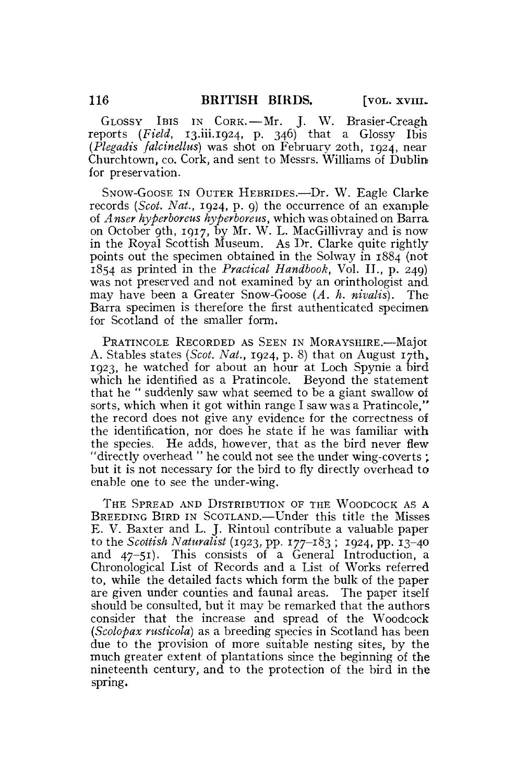GLOSSY IBIS IN CORK.—Mr. J. W. Brasier-Creagh reports *(Field,* [13.iii.1924,](http://13.iii.1924) p. 346) that a Glossy Ibis *(Plegadis falcinellus)* was shot on February 20th, 1924, near Churchtown, co. Cork, and sent to Messrs. Williams of Dublin for preservation.

SNOW-GOOSE IN OUTER HEBRIDES.—Dr. W. Eagle Clarke records *{Scot. Nat.,* 1924, p. 9) the occurrence of an example of *Anser hyperboreus hyperboreus,* which was obtained on Barra on October 9th, 1917, by Mr. W. L. MacGillivray and is now in the Royal Scottish Museum. As Dr. Clarke quite rightly points out the specimen obtained in the Solway in 1884 (not 1854 as printed in the *Practical Handbook,* Vol. II., p. 249) was not preserved and not examined by an orinthologist and. may have been a Greater Snow-Goose *(A. h. nivalis).* The Barra specimen is therefore the first authenticated specimen for Scotland of the smaller form.

PRATINCOLE RECORDED AS SEEN IN MORAYSHIRE.—Major A. Stables states *(Scot. Nat.,* 1924, p. 8) that on August 17th, 1923, he watched for about an hour at Loch Spynie a bird which he identified as a Pratincole. Beyond the statement that he " suddenly saw what seemed to be a giant swallow of sorts, which when it got within range I saw was a Pratincole," the record does not give any evidence for the correctness of the identification, nor does he state if he was familiar with the species. He adds, however, that as the bird never flew "directly overhead " he could not see the under wing-coverts ; but it is not necessary for the bird to fly directly overhead to enable one to see the under-wing.

THE SPREAD AND DISTRIBUTION OF THE WOODCOCK AS A BREEDING BIRD IN SCOTLAND.—Under this title the Misses E. V. Baxter and L. J. Rintoul contribute a valuable paper to the *Scottish Naturalist* (1923, pp. 177-183 ; 1924, pp. 13-40 and 47-51). This consists of a General Introduction, a Chronological List of Records and a List of Works referred to, while the detailed facts which form the bulk of the paper are given under counties and faunal areas. The paper itself should be consulted, but it may be remarked that the authors consider that the increase and spread of the Woodcock *(Scolopax rusticola)* as a breeding species in Scotland has been due to the provision of more suitable nesting sites, by the much greater extent of plantations since the beginning of the nineteenth century, and to the protection of the bird in the spring.